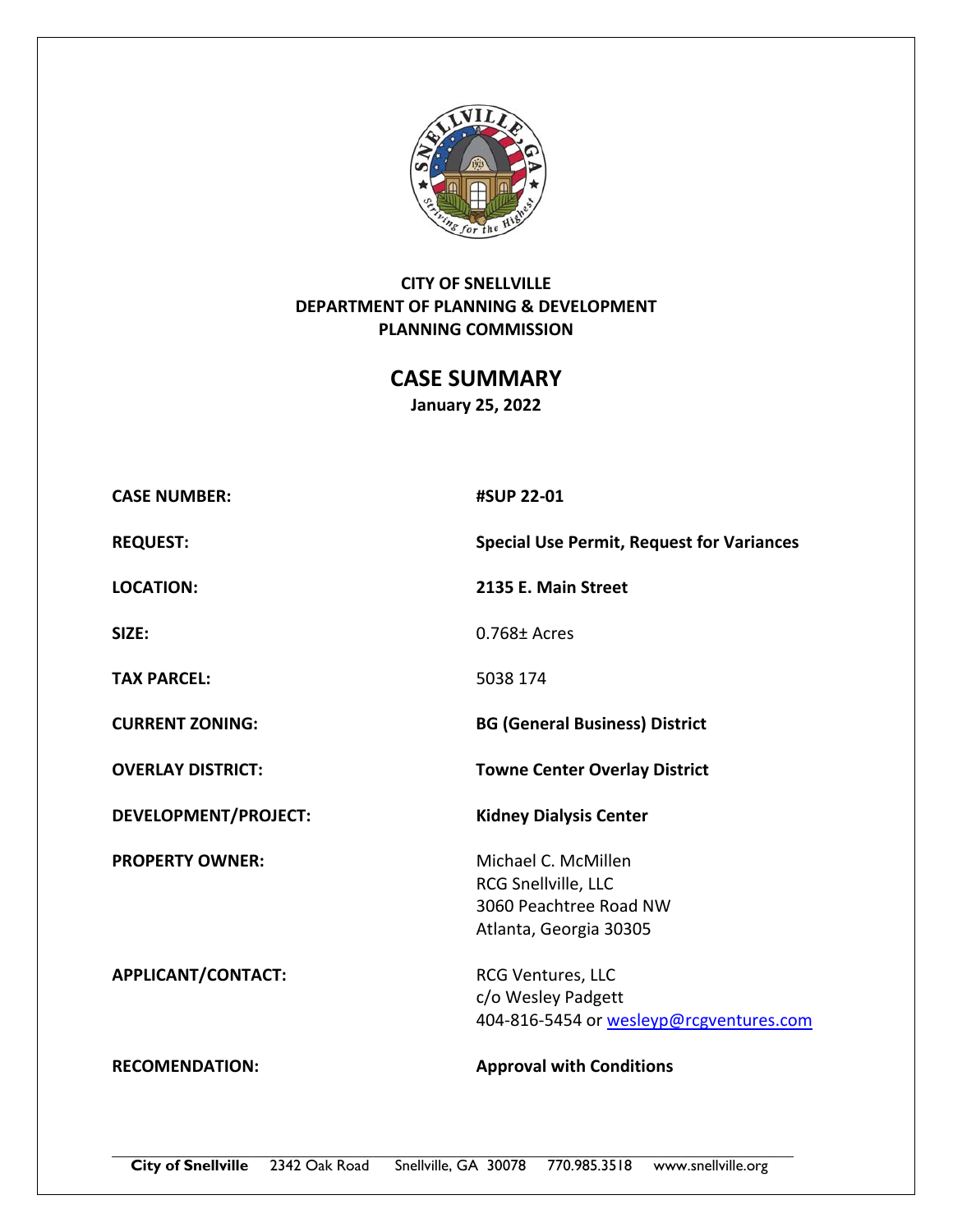

# **CITY OF SNELLVILLE DEPARTMENT OF PLANNING & DEVELOPMENT PLANNING COMMISSION**

**CASE SUMMARY January 25, 2022** 

| <b>CASE NUMBER:</b>         | #SUP 22-01                                                                                     |  |
|-----------------------------|------------------------------------------------------------------------------------------------|--|
| <b>REQUEST:</b>             | <b>Special Use Permit, Request for Variances</b>                                               |  |
| <b>LOCATION:</b>            | 2135 E. Main Street                                                                            |  |
| SIZE:                       | $0.768 \pm$ Acres                                                                              |  |
| <b>TAX PARCEL:</b>          | 5038 174                                                                                       |  |
| <b>CURRENT ZONING:</b>      | <b>BG (General Business) District</b>                                                          |  |
| <b>OVERLAY DISTRICT:</b>    | <b>Towne Center Overlay District</b>                                                           |  |
|                             |                                                                                                |  |
| <b>DEVELOPMENT/PROJECT:</b> | <b>Kidney Dialysis Center</b>                                                                  |  |
| <b>PROPERTY OWNER:</b>      | Michael C. McMillen<br>RCG Snellville, LLC<br>3060 Peachtree Road NW<br>Atlanta, Georgia 30305 |  |
| APPLICANT/CONTACT:          | <b>RCG Ventures, LLC</b><br>c/o Wesley Padgett<br>404-816-5454 or wesleyp@rcgventures.com      |  |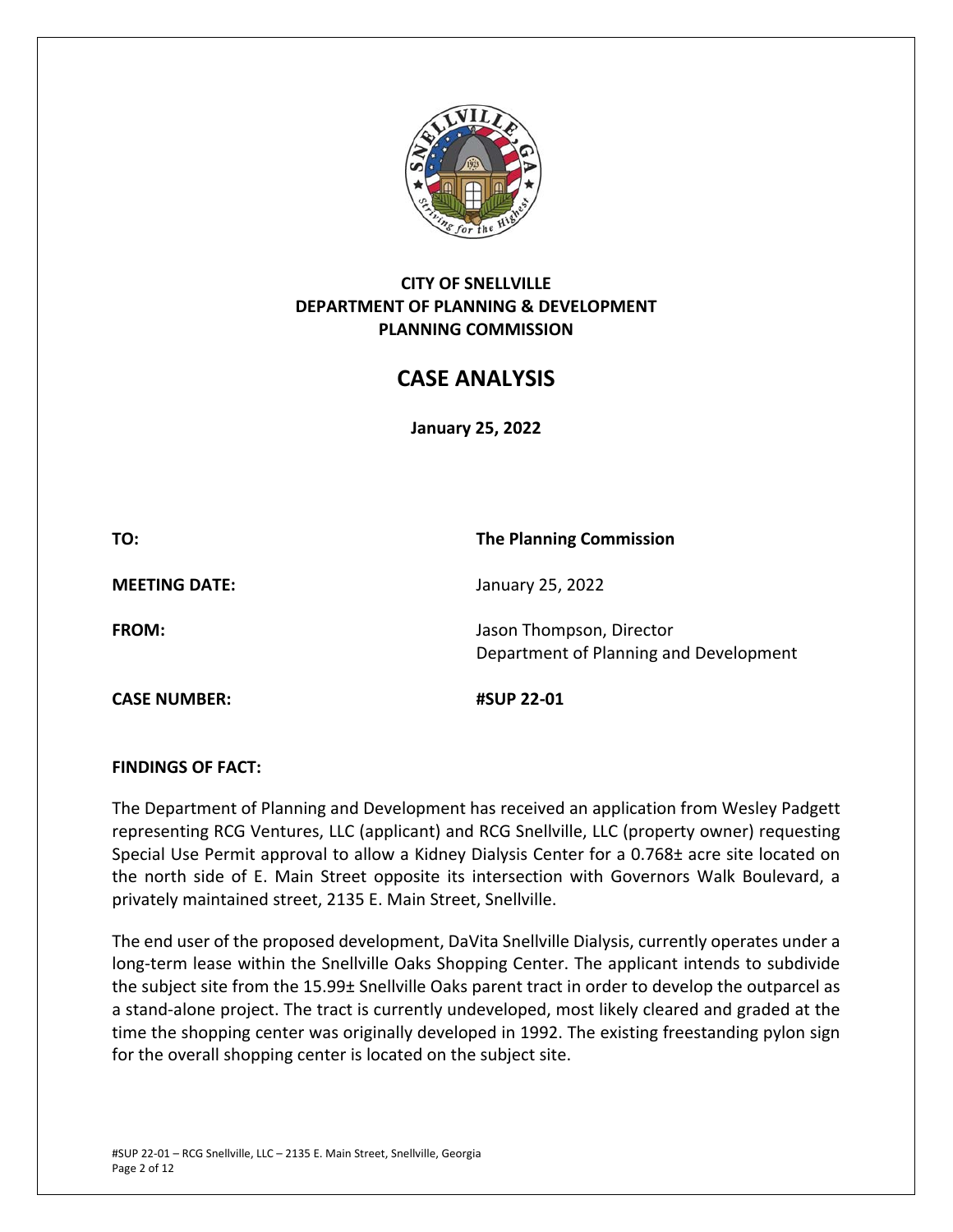

## **CITY OF SNELLVILLE DEPARTMENT OF PLANNING & DEVELOPMENT PLANNING COMMISSION**

# **CASE ANALYSIS**

**January 25, 2022** 

**TO: The Planning Commission** 

**MEETING DATE:**  January 25, 2022

**CASE NUMBER: #SUP 22‐01** 

**FROM: In the U.S. Islaming Contract Contract Contract Contract Contract Jason Thompson, Director** Department of Planning and Development

## **FINDINGS OF FACT:**

The Department of Planning and Development has received an application from Wesley Padgett representing RCG Ventures, LLC (applicant) and RCG Snellville, LLC (property owner) requesting Special Use Permit approval to allow a Kidney Dialysis Center for a 0.768± acre site located on the north side of E. Main Street opposite its intersection with Governors Walk Boulevard, a privately maintained street, 2135 E. Main Street, Snellville.

The end user of the proposed development, DaVita Snellville Dialysis, currently operates under a long-term lease within the Snellville Oaks Shopping Center. The applicant intends to subdivide the subject site from the 15.99± Snellville Oaks parent tract in order to develop the outparcel as a stand‐alone project. The tract is currently undeveloped, most likely cleared and graded at the time the shopping center was originally developed in 1992. The existing freestanding pylon sign for the overall shopping center is located on the subject site.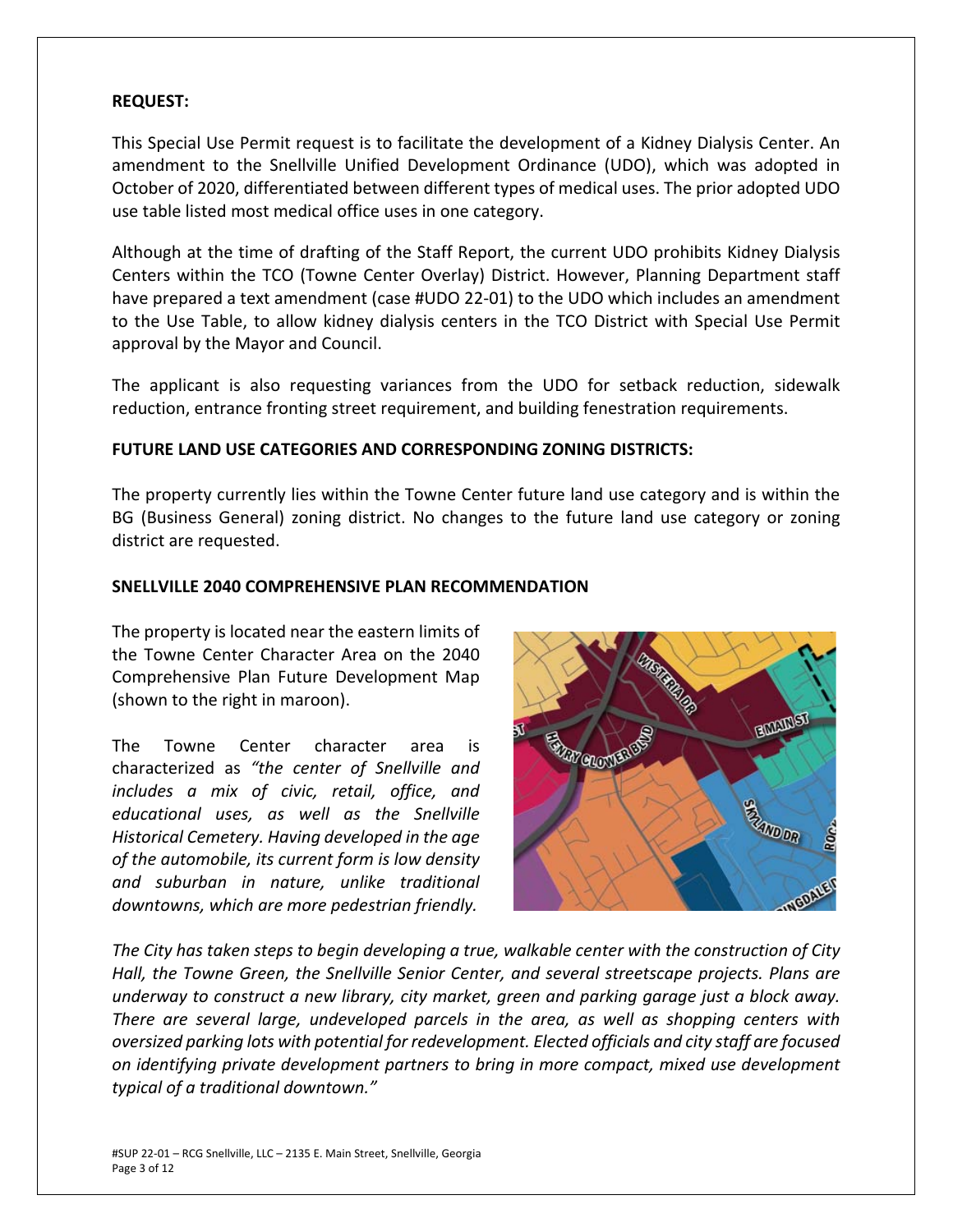#### **REQUEST:**

This Special Use Permit request is to facilitate the development of a Kidney Dialysis Center. An amendment to the Snellville Unified Development Ordinance (UDO), which was adopted in October of 2020, differentiated between different types of medical uses. The prior adopted UDO use table listed most medical office uses in one category.

Although at the time of drafting of the Staff Report, the current UDO prohibits Kidney Dialysis Centers within the TCO (Towne Center Overlay) District. However, Planning Department staff have prepared a text amendment (case #UDO 22-01) to the UDO which includes an amendment to the Use Table, to allow kidney dialysis centers in the TCO District with Special Use Permit approval by the Mayor and Council.

The applicant is also requesting variances from the UDO for setback reduction, sidewalk reduction, entrance fronting street requirement, and building fenestration requirements.

#### **FUTURE LAND USE CATEGORIES AND CORRESPONDING ZONING DISTRICTS:**

The property currently lies within the Towne Center future land use category and is within the BG (Business General) zoning district. No changes to the future land use category or zoning district are requested.

#### **SNELLVILLE 2040 COMPREHENSIVE PLAN RECOMMENDATION**

The property is located near the eastern limits of the Towne Center Character Area on the 2040 Comprehensive Plan Future Development Map (shown to the right in maroon).

The Towne Center character area is characterized as *"the center of Snellville and includes a mix of civic, retail, office, and educational uses, as well as the Snellville Historical Cemetery. Having developed in the age of the automobile, its current form is low density and suburban in nature, unlike traditional downtowns, which are more pedestrian friendly.* 



*The City has taken steps to begin developing a true, walkable center with the construction of City Hall, the Towne Green, the Snellville Senior Center, and several streetscape projects. Plans are underway to construct a new library, city market, green and parking garage just a block away. There are several large, undeveloped parcels in the area, as well as shopping centers with oversized parking lots with potential for redevelopment. Elected officials and city staff are focused on identifying private development partners to bring in more compact, mixed use development typical of a traditional downtown."*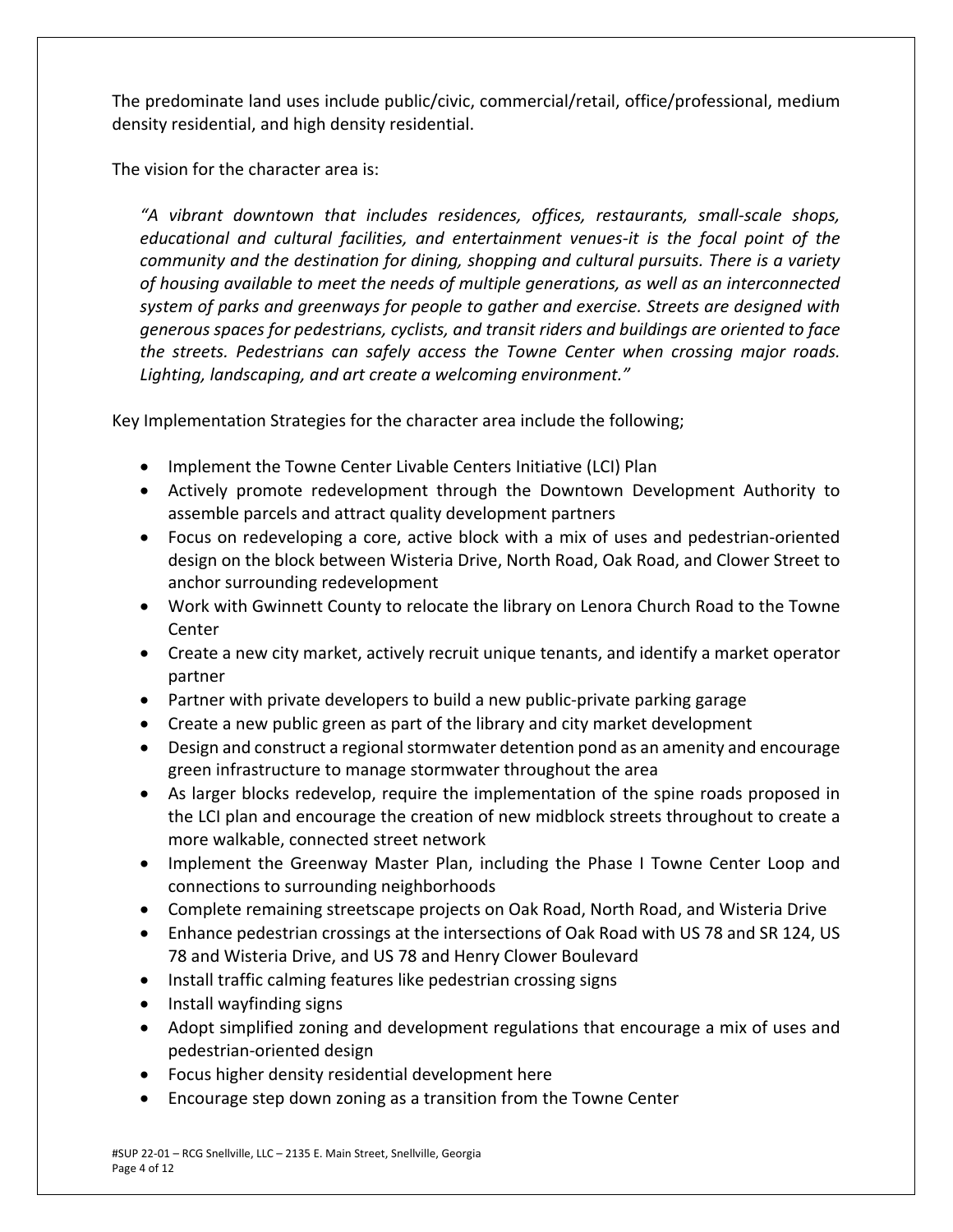The predominate land uses include public/civic, commercial/retail, office/professional, medium density residential, and high density residential.

The vision for the character area is:

*"A vibrant downtown that includes residences, offices, restaurants, small‐scale shops, educational and cultural facilities, and entertainment venues‐it is the focal point of the community and the destination for dining, shopping and cultural pursuits. There is a variety of housing available to meet the needs of multiple generations, as well as an interconnected system of parks and greenways for people to gather and exercise. Streets are designed with generous spaces for pedestrians, cyclists, and transit riders and buildings are oriented to face the streets. Pedestrians can safely access the Towne Center when crossing major roads. Lighting, landscaping, and art create a welcoming environment."*

Key Implementation Strategies for the character area include the following;

- Implement the Towne Center Livable Centers Initiative (LCI) Plan
- Actively promote redevelopment through the Downtown Development Authority to assemble parcels and attract quality development partners
- Focus on redeveloping a core, active block with a mix of uses and pedestrian‐oriented design on the block between Wisteria Drive, North Road, Oak Road, and Clower Street to anchor surrounding redevelopment
- Work with Gwinnett County to relocate the library on Lenora Church Road to the Towne Center
- Create a new city market, actively recruit unique tenants, and identify a market operator partner
- Partner with private developers to build a new public-private parking garage
- Create a new public green as part of the library and city market development
- Design and construct a regional stormwater detention pond as an amenity and encourage green infrastructure to manage stormwater throughout the area
- As larger blocks redevelop, require the implementation of the spine roads proposed in the LCI plan and encourage the creation of new midblock streets throughout to create a more walkable, connected street network
- Implement the Greenway Master Plan, including the Phase I Towne Center Loop and connections to surrounding neighborhoods
- Complete remaining streetscape projects on Oak Road, North Road, and Wisteria Drive
- Enhance pedestrian crossings at the intersections of Oak Road with US 78 and SR 124, US 78 and Wisteria Drive, and US 78 and Henry Clower Boulevard
- Install traffic calming features like pedestrian crossing signs
- Install wayfinding signs
- Adopt simplified zoning and development regulations that encourage a mix of uses and pedestrian‐oriented design
- Focus higher density residential development here
- Encourage step down zoning as a transition from the Towne Center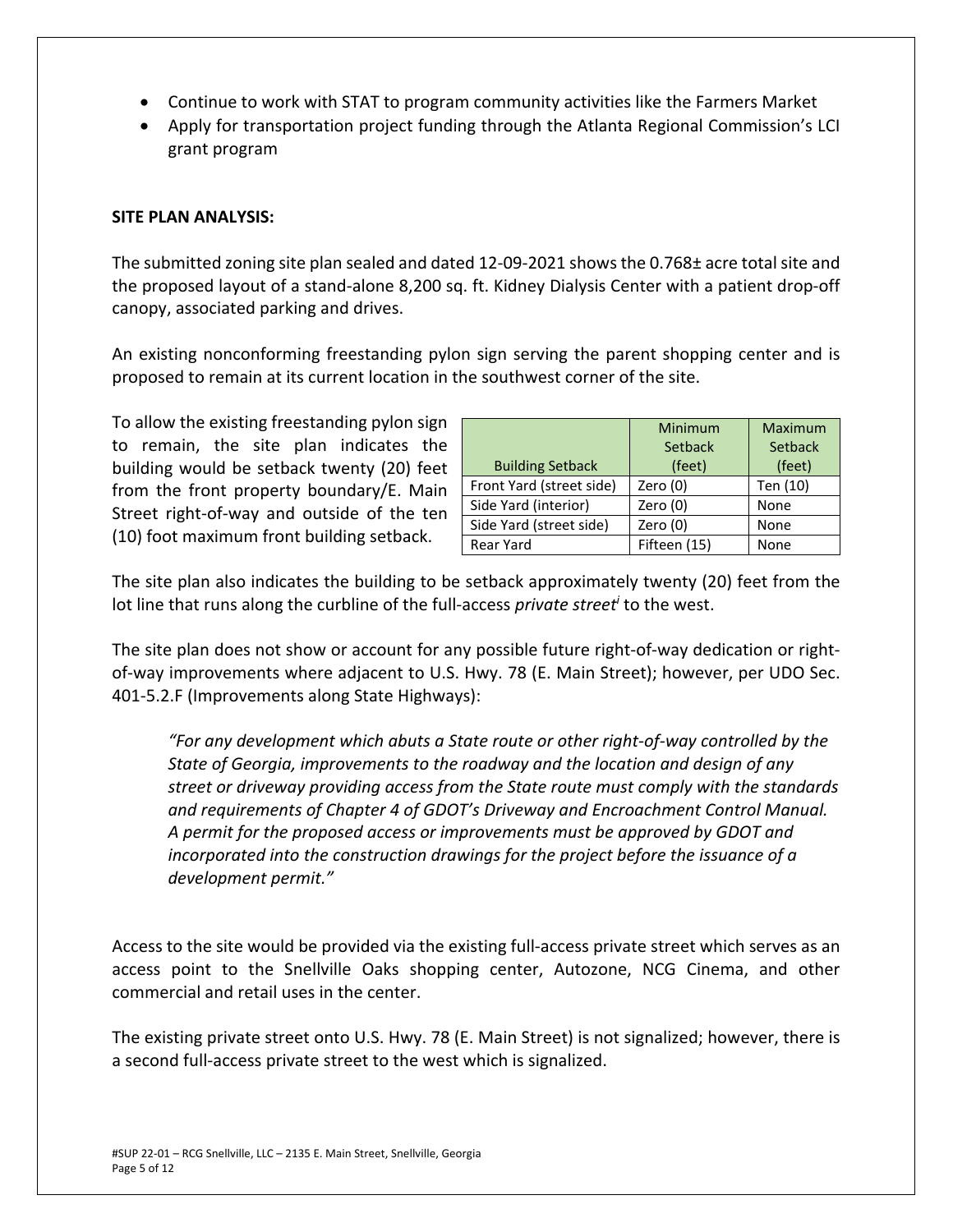- Continue to work with STAT to program community activities like the Farmers Market
- Apply for transportation project funding through the Atlanta Regional Commission's LCI grant program

#### **SITE PLAN ANALYSIS:**

The submitted zoning site plan sealed and dated 12‐09‐2021 shows the 0.768± acre total site and the proposed layout of a stand‐alone 8,200 sq. ft. Kidney Dialysis Center with a patient drop‐off canopy, associated parking and drives.

An existing nonconforming freestanding pylon sign serving the parent shopping center and is proposed to remain at its current location in the southwest corner of the site.

To allow the existing freestanding pylon sign to remain, the site plan indicates the building would be setback twenty (20) feet from the front property boundary/E. Main Street right-of-way and outside of the ten (10) foot maximum front building setback.

|                          | Minimum      | <b>Maximum</b> |  |
|--------------------------|--------------|----------------|--|
|                          | Setback      | Setback        |  |
| <b>Building Setback</b>  | (feet)       | (feet)         |  |
| Front Yard (street side) | Zero $(0)$   | Ten (10)       |  |
| Side Yard (interior)     | Zero $(0)$   | None           |  |
| Side Yard (street side)  | Zero (0)     | None           |  |
| <b>Rear Yard</b>         | Fifteen (15) | None           |  |

The site plan also indicates the building to be setback approximately twenty (20) feet from the lot line that runs along the curbline of the full-access *private street<sup>i</sup>* to the west.

The site plan does not show or account for any possible future right‐of‐way dedication or right‐ of-way improvements where adjacent to U.S. Hwy. 78 (E. Main Street); however, per UDO Sec. 401‐5.2.F (Improvements along State Highways):

*"For any development which abuts a State route or other right‐of‐way controlled by the State of Georgia, improvements to the roadway and the location and design of any street or driveway providing access from the State route must comply with the standards and requirements of Chapter 4 of GDOT's Driveway and Encroachment Control Manual. A permit for the proposed access or improvements must be approved by GDOT and incorporated into the construction drawings for the project before the issuance of a development permit."* 

Access to the site would be provided via the existing full‐access private street which serves as an access point to the Snellville Oaks shopping center, Autozone, NCG Cinema, and other commercial and retail uses in the center.

The existing private street onto U.S. Hwy. 78 (E. Main Street) is not signalized; however, there is a second full‐access private street to the west which is signalized.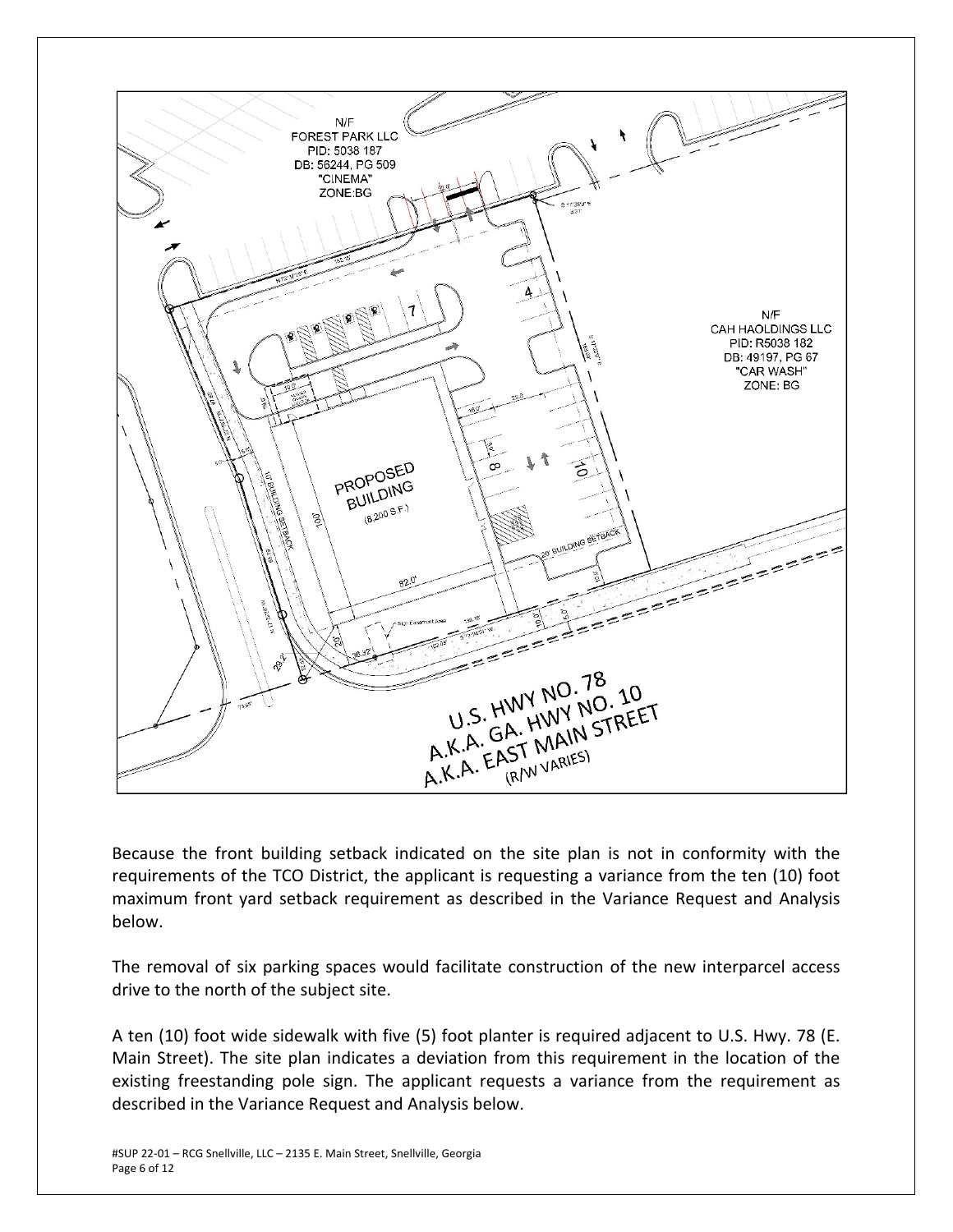

Because the front building setback indicated on the site plan is not in conformity with the requirements of the TCO District, the applicant is requesting a variance from the ten (10) foot maximum front yard setback requirement as described in the Variance Request and Analysis below.

The removal of six parking spaces would facilitate construction of the new interparcel access drive to the north of the subject site.

A ten (10) foot wide sidewalk with five (5) foot planter is required adjacent to U.S. Hwy. 78 (E. Main Street). The site plan indicates a deviation from this requirement in the location of the existing freestanding pole sign. The applicant requests a variance from the requirement as described in the Variance Request and Analysis below.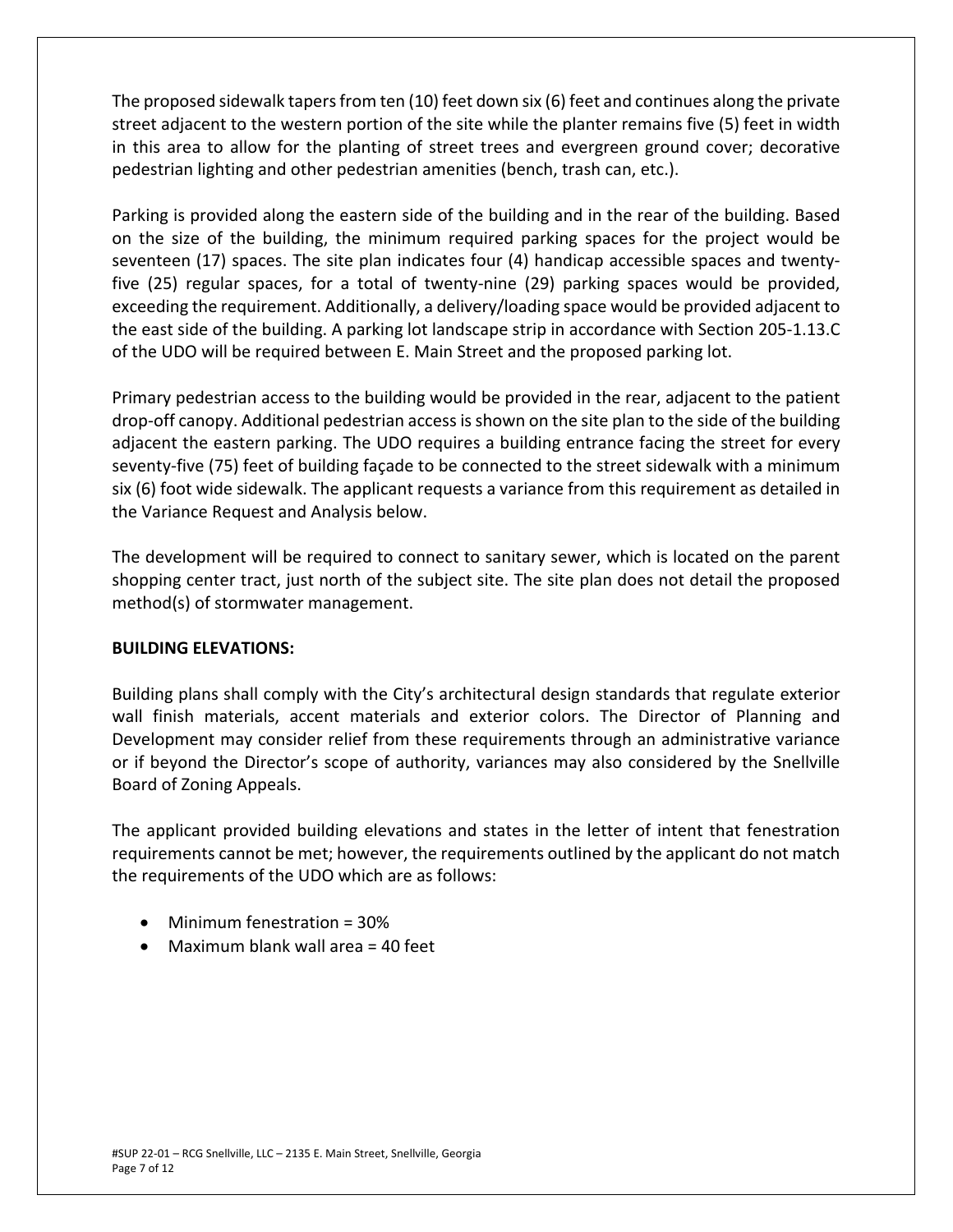The proposed sidewalk tapers from ten (10) feet down six (6) feet and continues along the private street adjacent to the western portion of the site while the planter remains five (5) feet in width in this area to allow for the planting of street trees and evergreen ground cover; decorative pedestrian lighting and other pedestrian amenities (bench, trash can, etc.).

Parking is provided along the eastern side of the building and in the rear of the building. Based on the size of the building, the minimum required parking spaces for the project would be seventeen (17) spaces. The site plan indicates four (4) handicap accessible spaces and twenty‐ five (25) regular spaces, for a total of twenty-nine (29) parking spaces would be provided, exceeding the requirement. Additionally, a delivery/loading space would be provided adjacent to the east side of the building. A parking lot landscape strip in accordance with Section 205‐1.13.C of the UDO will be required between E. Main Street and the proposed parking lot.

Primary pedestrian access to the building would be provided in the rear, adjacent to the patient drop‐off canopy. Additional pedestrian access is shown on the site plan to the side of the building adjacent the eastern parking. The UDO requires a building entrance facing the street for every seventy-five (75) feet of building façade to be connected to the street sidewalk with a minimum six (6) foot wide sidewalk. The applicant requests a variance from this requirement as detailed in the Variance Request and Analysis below.

The development will be required to connect to sanitary sewer, which is located on the parent shopping center tract, just north of the subject site. The site plan does not detail the proposed method(s) of stormwater management.

## **BUILDING ELEVATIONS:**

Building plans shall comply with the City's architectural design standards that regulate exterior wall finish materials, accent materials and exterior colors. The Director of Planning and Development may consider relief from these requirements through an administrative variance or if beyond the Director's scope of authority, variances may also considered by the Snellville Board of Zoning Appeals.

The applicant provided building elevations and states in the letter of intent that fenestration requirements cannot be met; however, the requirements outlined by the applicant do not match the requirements of the UDO which are as follows:

- Minimum fenestration = 30%
- $\bullet$  Maximum blank wall area = 40 feet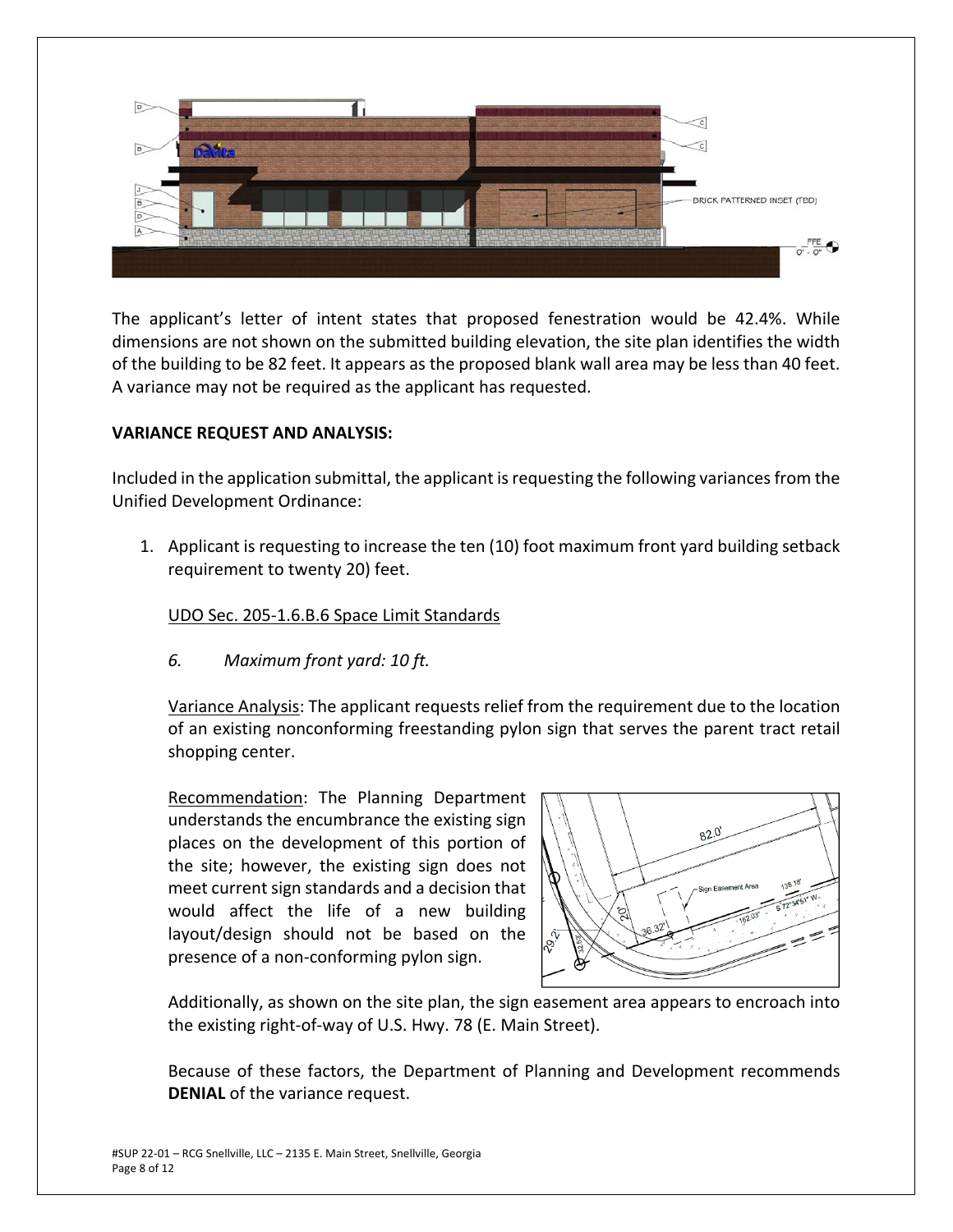

The applicant's letter of intent states that proposed fenestration would be 42.4%. While dimensions are not shown on the submitted building elevation, the site plan identifies the width of the building to be 82 feet. It appears as the proposed blank wall area may be less than 40 feet. A variance may not be required as the applicant has requested.

## **VARIANCE REQUEST AND ANALYSIS:**

Included in the application submittal, the applicant is requesting the following variances from the Unified Development Ordinance:

1. Applicant is requesting to increase the ten (10) foot maximum front yard building setback requirement to twenty 20) feet.

## UDO Sec. 205‐1.6.B.6 Space Limit Standards

*6. Maximum front yard: 10 ft.*

Variance Analysis: The applicant requests relief from the requirement due to the location of an existing nonconforming freestanding pylon sign that serves the parent tract retail shopping center.

Recommendation: The Planning Department understands the encumbrance the existing sign places on the development of this portion of the site; however, the existing sign does not meet current sign standards and a decision that would affect the life of a new building layout/design should not be based on the presence of a non‐conforming pylon sign.



Additionally, as shown on the site plan, the sign easement area appears to encroach into the existing right‐of‐way of U.S. Hwy. 78 (E. Main Street).

Because of these factors, the Department of Planning and Development recommends **DENIAL** of the variance request.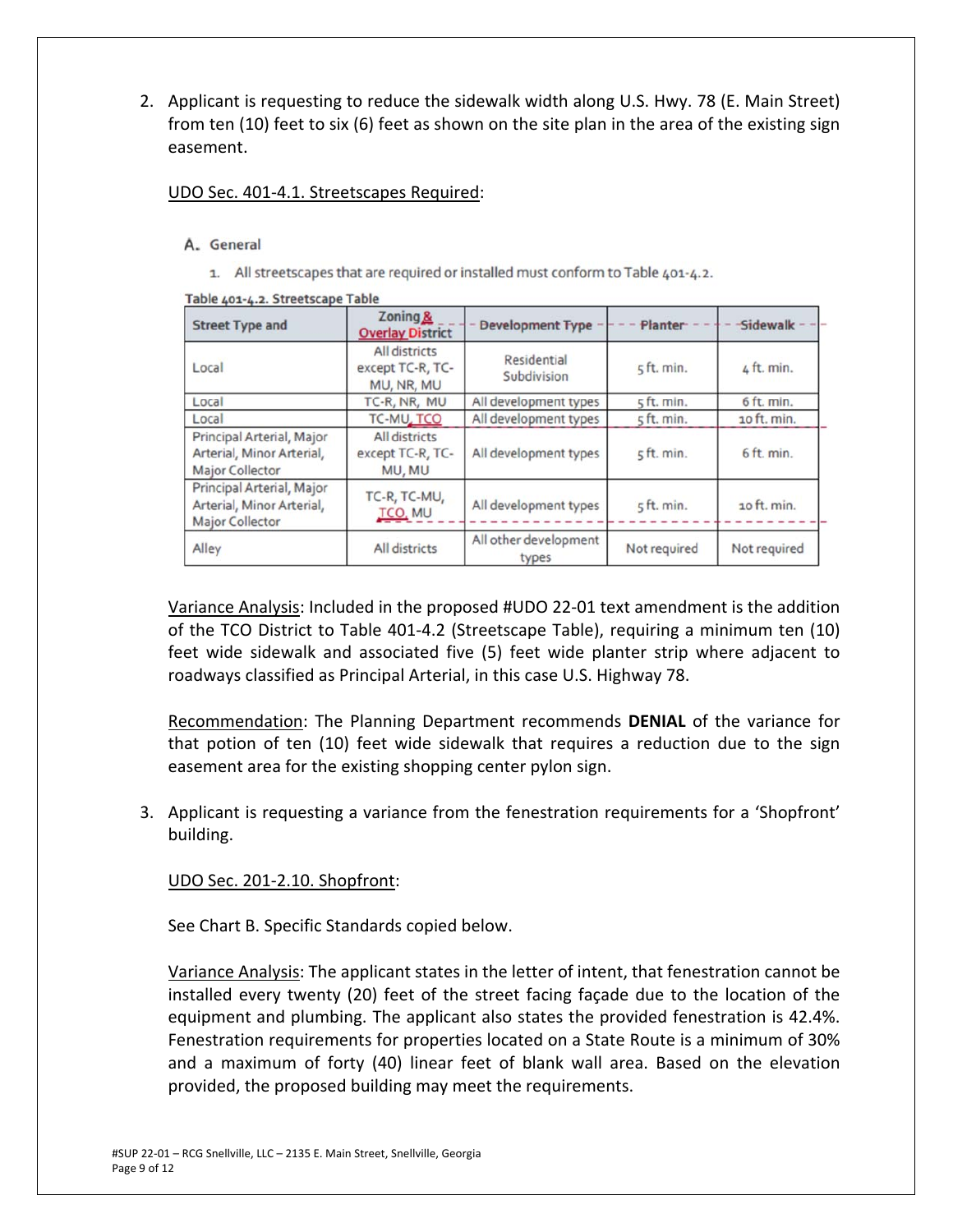2. Applicant is requesting to reduce the sidewalk width along U.S. Hwy. 78 (E. Main Street) from ten (10) feet to six (6) feet as shown on the site plan in the area of the existing sign easement.

#### UDO Sec. 401‐4.1. Streetscapes Required:

#### A. General

1. All streetscapes that are required or installed must conform to Table 401-4.2.

| <b>Street Type and</b>                                                           | Zoning &<br><b>Overlay District</b>             | <b>Development Type</b>        | Planter      | Sidewalk     |
|----------------------------------------------------------------------------------|-------------------------------------------------|--------------------------------|--------------|--------------|
| Local                                                                            | All districts<br>except TC-R, TC-<br>MU, NR, MU | Residential<br>Subdivision     | 5 ft. min.   | 4 ft. min.   |
| Local                                                                            | TC-R, NR, MU                                    | All development types          | 5 ft. min.   | 6 ft. min.   |
| Local                                                                            | TC-MU, TCO                                      | All development types          | 5 ft. min.   | 10 ft. min.  |
| Principal Arterial, Major<br>Arterial, Minor Arterial,<br><b>Major Collector</b> | All districts<br>except TC-R, TC-<br>MU, MU     | All development types          | 5 ft. min.   | 6 ft. min.   |
| Principal Arterial, Major<br>Arterial, Minor Arterial,<br><b>Major Collector</b> | TC-R, TC-MU,<br>TCO, MU                         | All development types          | $5$ ft. min. | 10 ft. min.  |
| Alley                                                                            | All districts                                   | All other development<br>types | Not required | Not required |

#### Table 401-4.2. Streetscape Table

Variance Analysis: Included in the proposed #UDO 22‐01 text amendment is the addition of the TCO District to Table 401‐4.2 (Streetscape Table), requiring a minimum ten (10) feet wide sidewalk and associated five (5) feet wide planter strip where adjacent to roadways classified as Principal Arterial, in this case U.S. Highway 78.

Recommendation: The Planning Department recommends **DENIAL** of the variance for that potion of ten (10) feet wide sidewalk that requires a reduction due to the sign easement area for the existing shopping center pylon sign.

3. Applicant is requesting a variance from the fenestration requirements for a 'Shopfront' building.

## UDO Sec. 201‐2.10. Shopfront:

See Chart B. Specific Standards copied below.

Variance Analysis: The applicant states in the letter of intent, that fenestration cannot be installed every twenty (20) feet of the street facing façade due to the location of the equipment and plumbing. The applicant also states the provided fenestration is 42.4%. Fenestration requirements for properties located on a State Route is a minimum of 30% and a maximum of forty (40) linear feet of blank wall area. Based on the elevation provided, the proposed building may meet the requirements.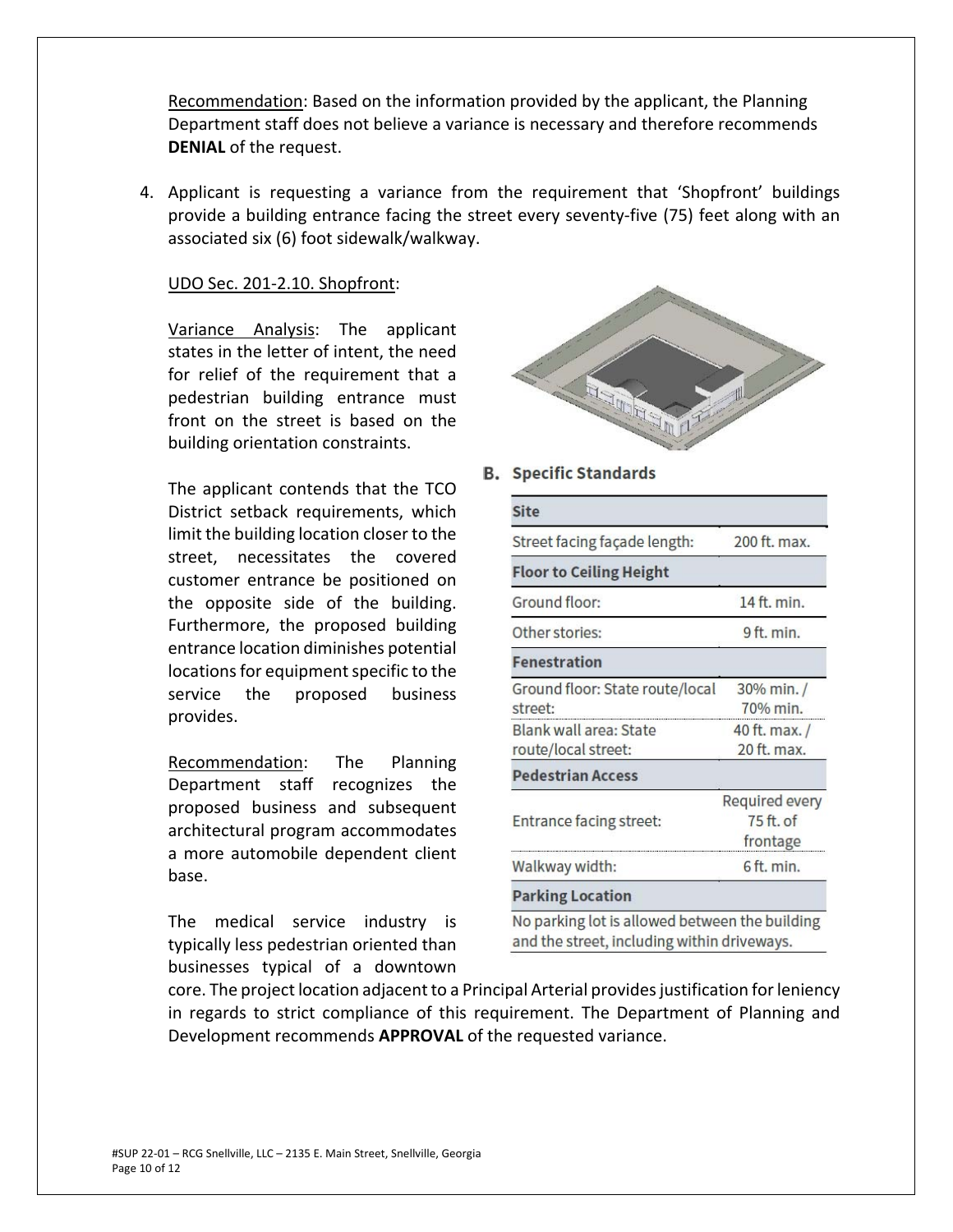Recommendation: Based on the information provided by the applicant, the Planning Department staff does not believe a variance is necessary and therefore recommends **DENIAL** of the request.

4. Applicant is requesting a variance from the requirement that 'Shopfront' buildings provide a building entrance facing the street every seventy‐five (75) feet along with an associated six (6) foot sidewalk/walkway.

#### UDO Sec. 201‐2.10. Shopfront:

Variance Analysis: The applicant states in the letter of intent, the need for relief of the requirement that a pedestrian building entrance must front on the street is based on the building orientation constraints.

The applicant contends that the TCO District setback requirements, which limit the building location closer to the street, necessitates the covered customer entrance be positioned on the opposite side of the building. Furthermore, the proposed building entrance location diminishes potential locations for equipment specific to the service the proposed business provides.

Recommendation: The Planning Department staff recognizes the proposed business and subsequent architectural program accommodates a more automobile dependent client base.

The medical service industry is typically less pedestrian oriented than businesses typical of a downtown



#### **B.** Specific Standards

| <b>Site</b>                                                                                   |                                           |
|-----------------------------------------------------------------------------------------------|-------------------------------------------|
| Street facing façade length:                                                                  | 200 ft. max.                              |
| <b>Floor to Ceiling Height</b>                                                                |                                           |
| Ground floor:                                                                                 | 14 ft. min.                               |
| Other stories:                                                                                | 9 ft. min.                                |
| <b>Fenestration</b>                                                                           |                                           |
| Ground floor: State route/local<br>street:                                                    | 30% min./<br>70% min.                     |
| Blank wall area: State<br>route/local street:                                                 | 40 ft. max. /<br>20 ft. max.              |
| <b>Pedestrian Access</b>                                                                      |                                           |
| Entrance facing street:                                                                       | Required every<br>$75$ ft. of<br>frontage |
| Walkway width:                                                                                | 6 ft. min.                                |
| <b>Parking Location</b>                                                                       |                                           |
| No parking lot is allowed between the building<br>and the street, including within driveways. |                                           |

core. The project location adjacent to a Principal Arterial provides justification for leniency in regards to strict compliance of this requirement. The Department of Planning and Development recommends **APPROVAL** of the requested variance.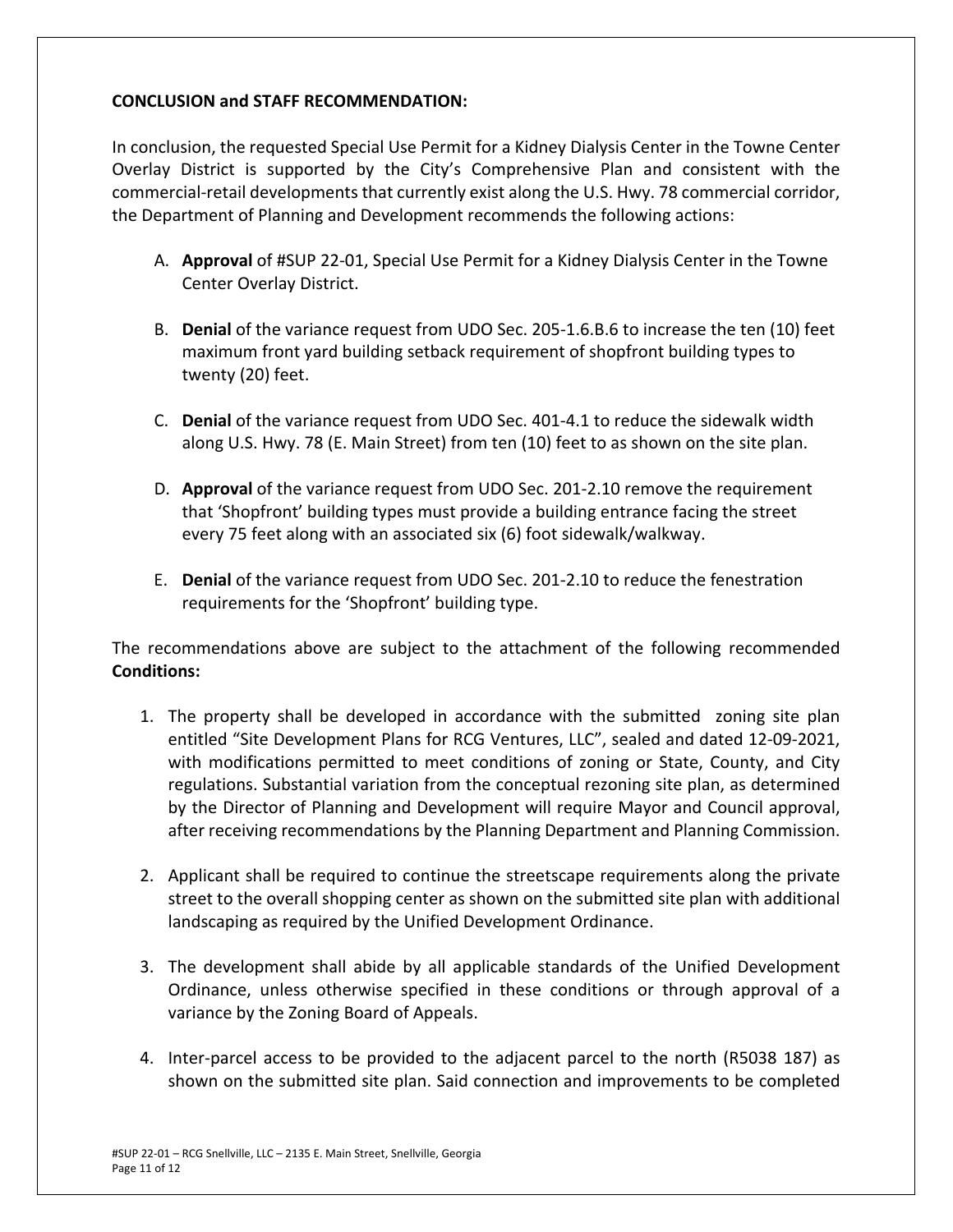## **CONCLUSION and STAFF RECOMMENDATION:**

In conclusion, the requested Special Use Permit for a Kidney Dialysis Center in the Towne Center Overlay District is supported by the City's Comprehensive Plan and consistent with the commercial‐retail developments that currently exist along the U.S. Hwy. 78 commercial corridor, the Department of Planning and Development recommends the following actions:

- A. **Approval** of #SUP 22‐01, Special Use Permit for a Kidney Dialysis Center in the Towne Center Overlay District.
- B. **Denial** of the variance request from UDO Sec. 205‐1.6.B.6 to increase the ten (10) feet maximum front yard building setback requirement of shopfront building types to twenty (20) feet.
- C. **Denial** of the variance request from UDO Sec. 401‐4.1 to reduce the sidewalk width along U.S. Hwy. 78 (E. Main Street) from ten (10) feet to as shown on the site plan.
- D. **Approval** of the variance request from UDO Sec. 201-2.10 remove the requirement that 'Shopfront' building types must provide a building entrance facing the street every 75 feet along with an associated six (6) foot sidewalk/walkway.
- E. **Denial** of the variance request from UDO Sec. 201‐2.10 to reduce the fenestration requirements for the 'Shopfront' building type.

The recommendations above are subject to the attachment of the following recommended **Conditions:** 

- 1. The property shall be developed in accordance with the submitted zoning site plan entitled "Site Development Plans for RCG Ventures, LLC", sealed and dated 12‐09‐2021, with modifications permitted to meet conditions of zoning or State, County, and City regulations. Substantial variation from the conceptual rezoning site plan, as determined by the Director of Planning and Development will require Mayor and Council approval, after receiving recommendations by the Planning Department and Planning Commission.
- 2. Applicant shall be required to continue the streetscape requirements along the private street to the overall shopping center as shown on the submitted site plan with additional landscaping as required by the Unified Development Ordinance.
- 3. The development shall abide by all applicable standards of the Unified Development Ordinance, unless otherwise specified in these conditions or through approval of a variance by the Zoning Board of Appeals.
- 4. Inter-parcel access to be provided to the adjacent parcel to the north (R5038 187) as shown on the submitted site plan. Said connection and improvements to be completed